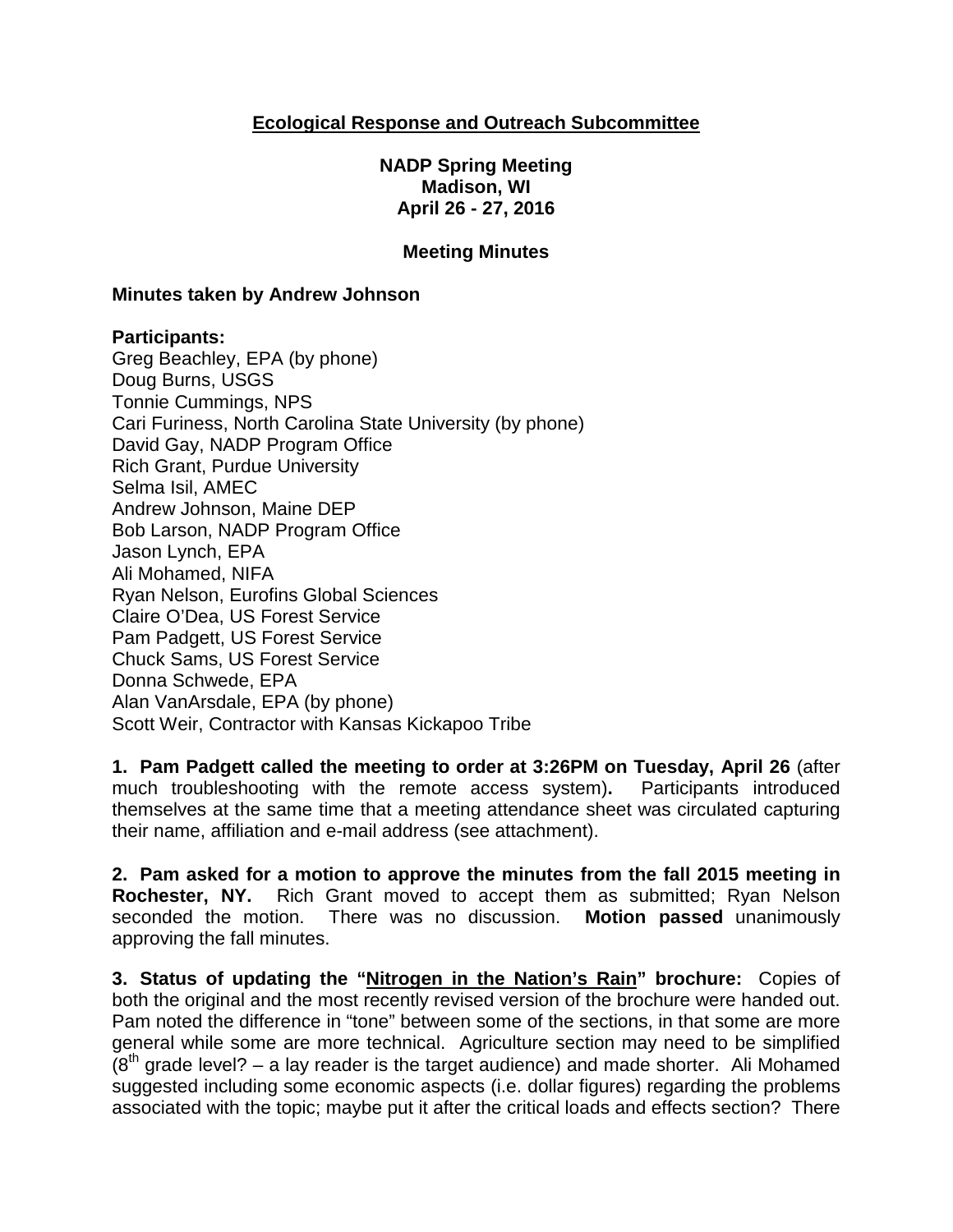## **Ecological Response and Outreach Subcommittee**

**NADP Spring Meeting Madison, WI April 26 - 27, 2016**

### **Meeting Minutes**

#### **Minutes taken by Andrew Johnson**

#### **Participants:**

Greg Beachley, EPA (by phone) Doug Burns, USGS Tonnie Cummings, NPS Cari Furiness, North Carolina State University (by phone) David Gay, NADP Program Office Rich Grant, Purdue University Selma Isil, AMEC Andrew Johnson, Maine DEP Bob Larson, NADP Program Office Jason Lynch, EPA Ali Mohamed, NIFA Ryan Nelson, Eurofins Global Sciences Claire O'Dea, US Forest Service Pam Padgett, US Forest Service Chuck Sams, US Forest Service Donna Schwede, EPA Alan VanArsdale, EPA (by phone) Scott Weir, Contractor with Kansas Kickapoo Tribe

**1. Pam Padgett called the meeting to order at 3:26PM on Tuesday, April 26** (after much troubleshooting with the remote access system)**.** Participants introduced themselves at the same time that a meeting attendance sheet was circulated capturing their name, affiliation and e-mail address (see attachment).

**2. Pam asked for a motion to approve the minutes from the fall 2015 meeting in Rochester, NY.** Rich Grant moved to accept them as submitted; Ryan Nelson seconded the motion. There was no discussion. **Motion passed** unanimously approving the fall minutes.

**3. Status of updating the "Nitrogen in the Nation's Rain" brochure:** Copies of both the original and the most recently revised version of the brochure were handed out. Pam noted the difference in "tone" between some of the sections, in that some are more general while some are more technical. Agriculture section may need to be simplified  $(8<sup>th</sup>$  grade level? – a lay reader is the target audience) and made shorter. Ali Mohamed suggested including some economic aspects (i.e. dollar figures) regarding the problems associated with the topic; maybe put it after the critical loads and effects section? There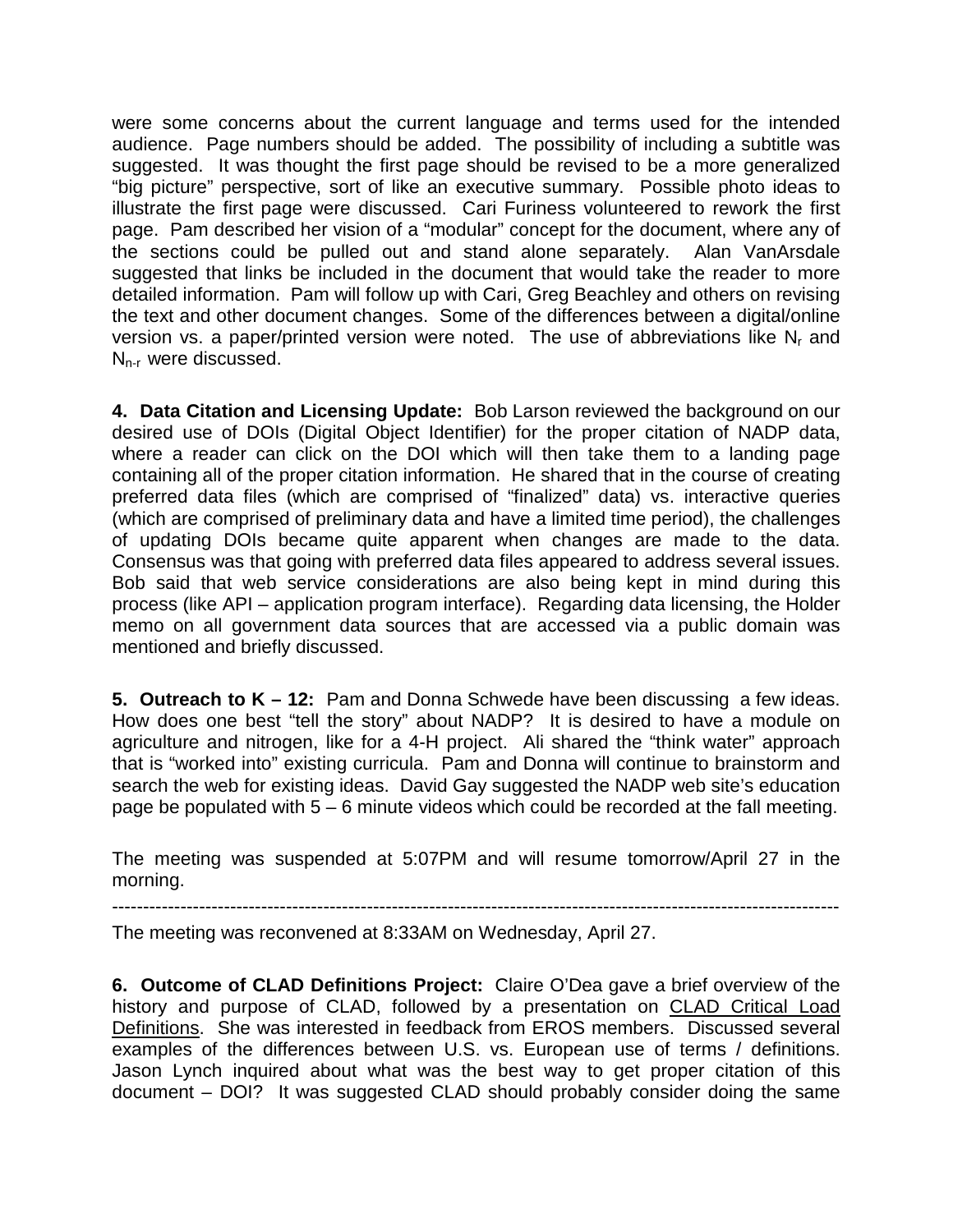were some concerns about the current language and terms used for the intended audience. Page numbers should be added. The possibility of including a subtitle was suggested. It was thought the first page should be revised to be a more generalized "big picture" perspective, sort of like an executive summary. Possible photo ideas to illustrate the first page were discussed. Cari Furiness volunteered to rework the first page. Pam described her vision of a "modular" concept for the document, where any of the sections could be pulled out and stand alone separately. Alan VanArsdale suggested that links be included in the document that would take the reader to more detailed information. Pam will follow up with Cari, Greg Beachley and others on revising the text and other document changes. Some of the differences between a digital/online version vs. a paper/printed version were noted. The use of abbreviations like  $N_r$  and  $N_{n-r}$  were discussed.

**4. Data Citation and Licensing Update:** Bob Larson reviewed the background on our desired use of DOIs (Digital Object Identifier) for the proper citation of NADP data, where a reader can click on the DOI which will then take them to a landing page containing all of the proper citation information. He shared that in the course of creating preferred data files (which are comprised of "finalized" data) vs. interactive queries (which are comprised of preliminary data and have a limited time period), the challenges of updating DOIs became quite apparent when changes are made to the data. Consensus was that going with preferred data files appeared to address several issues. Bob said that web service considerations are also being kept in mind during this process (like API – application program interface). Regarding data licensing, the Holder memo on all government data sources that are accessed via a public domain was mentioned and briefly discussed.

**5. Outreach to K – 12:** Pam and Donna Schwede have been discussing a few ideas. How does one best "tell the story" about NADP? It is desired to have a module on agriculture and nitrogen, like for a 4-H project. Ali shared the "think water" approach that is "worked into" existing curricula. Pam and Donna will continue to brainstorm and search the web for existing ideas. David Gay suggested the NADP web site's education page be populated with 5 – 6 minute videos which could be recorded at the fall meeting.

The meeting was suspended at 5:07PM and will resume tomorrow/April 27 in the morning.

---------------------------------------------------------------------------------------------------------------------

The meeting was reconvened at 8:33AM on Wednesday, April 27.

**6. Outcome of CLAD Definitions Project:** Claire O'Dea gave a brief overview of the history and purpose of CLAD, followed by a presentation on CLAD Critical Load Definitions. She was interested in feedback from EROS members. Discussed several examples of the differences between U.S. vs. European use of terms / definitions. Jason Lynch inquired about what was the best way to get proper citation of this document – DOI? It was suggested CLAD should probably consider doing the same